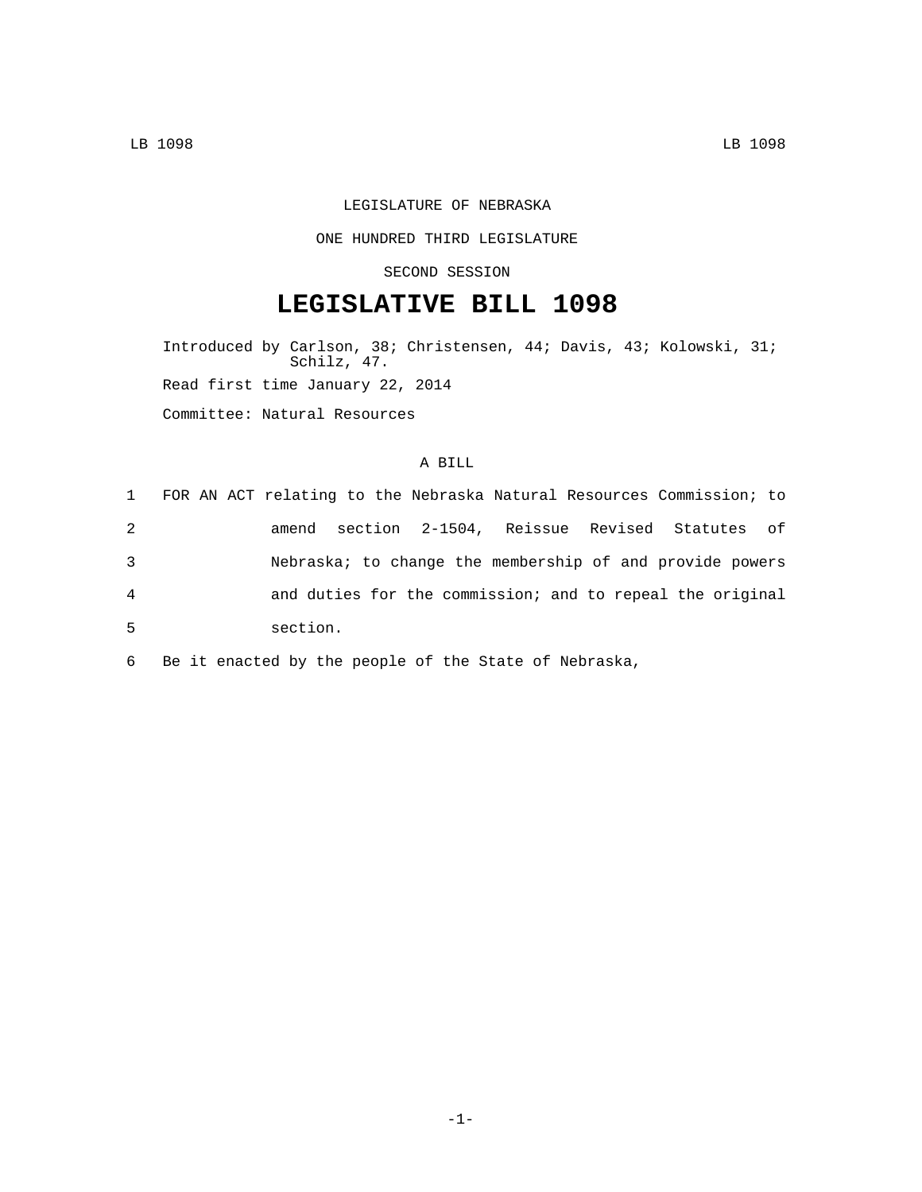### LEGISLATURE OF NEBRASKA

#### ONE HUNDRED THIRD LEGISLATURE

### SECOND SESSION

# **LEGISLATIVE BILL 1098**

Introduced by Carlson, 38; Christensen, 44; Davis, 43; Kolowski, 31; Schilz, 47. Read first time January 22, 2014 Committee: Natural Resources

### A BILL

| 1              | FOR AN ACT relating to the Nebraska Natural Resources Commission; to |
|----------------|----------------------------------------------------------------------|
| 2              | amend section 2-1504, Reissue Revised Statutes of                    |
| 3              | Nebraska; to change the membership of and provide powers             |
| $\overline{4}$ | and duties for the commission; and to repeal the original            |
| 5              | section.                                                             |

6 Be it enacted by the people of the State of Nebraska,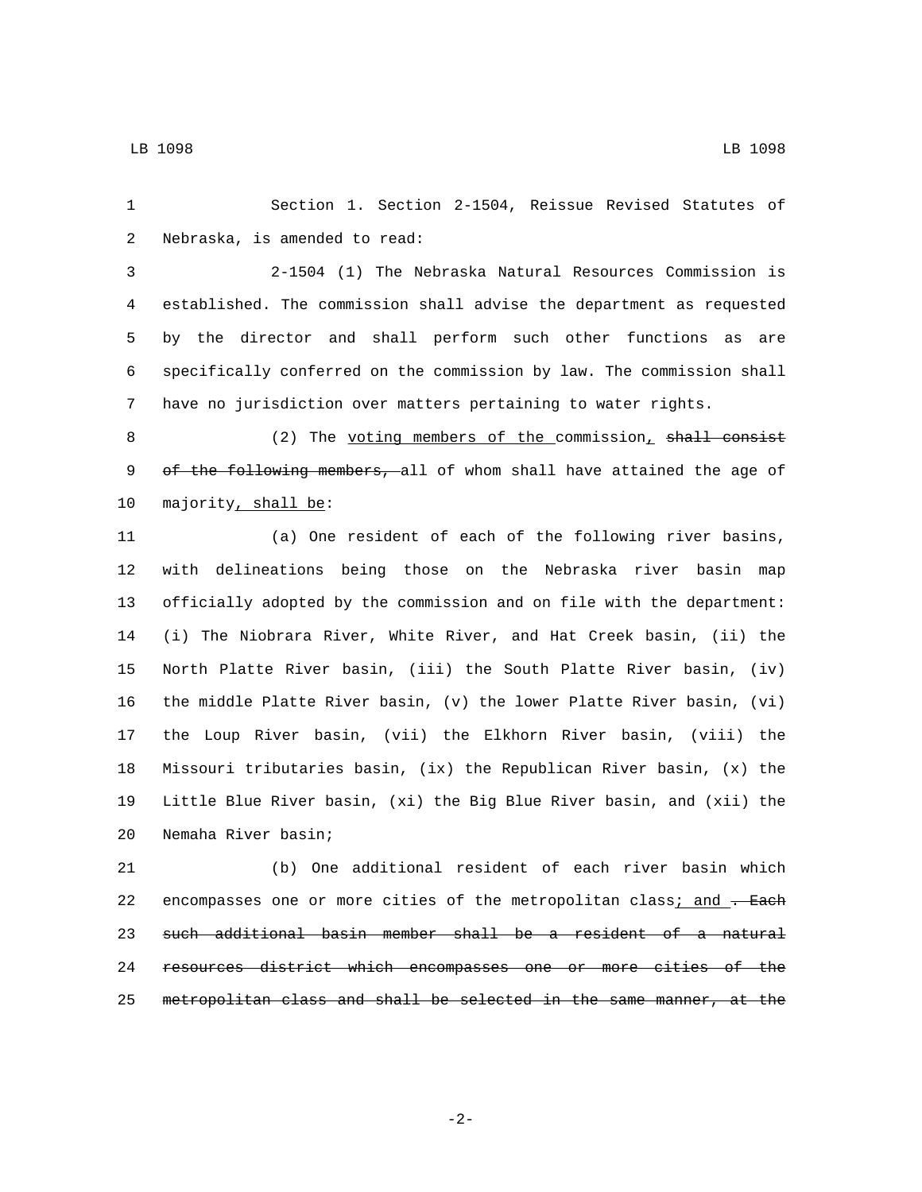Section 1. Section 2-1504, Reissue Revised Statutes of 2 Nebraska, is amended to read:

 2-1504 (1) The Nebraska Natural Resources Commission is established. The commission shall advise the department as requested by the director and shall perform such other functions as are specifically conferred on the commission by law. The commission shall have no jurisdiction over matters pertaining to water rights.

8 (2) The voting members of the commission, shall consist 9 of the following members, all of whom shall have attained the age of 10 majority, shall be:

 (a) One resident of each of the following river basins, with delineations being those on the Nebraska river basin map officially adopted by the commission and on file with the department: (i) The Niobrara River, White River, and Hat Creek basin, (ii) the North Platte River basin, (iii) the South Platte River basin, (iv) the middle Platte River basin, (v) the lower Platte River basin, (vi) the Loup River basin, (vii) the Elkhorn River basin, (viii) the Missouri tributaries basin, (ix) the Republican River basin, (x) the Little Blue River basin, (xi) the Big Blue River basin, and (xii) the 20 Nemaha River basin;

 (b) One additional resident of each river basin which 22 encompasses one or more cities of the metropolitan class; and . Each such additional basin member shall be a resident of a natural resources district which encompasses one or more cities of the metropolitan class and shall be selected in the same manner, at the

-2-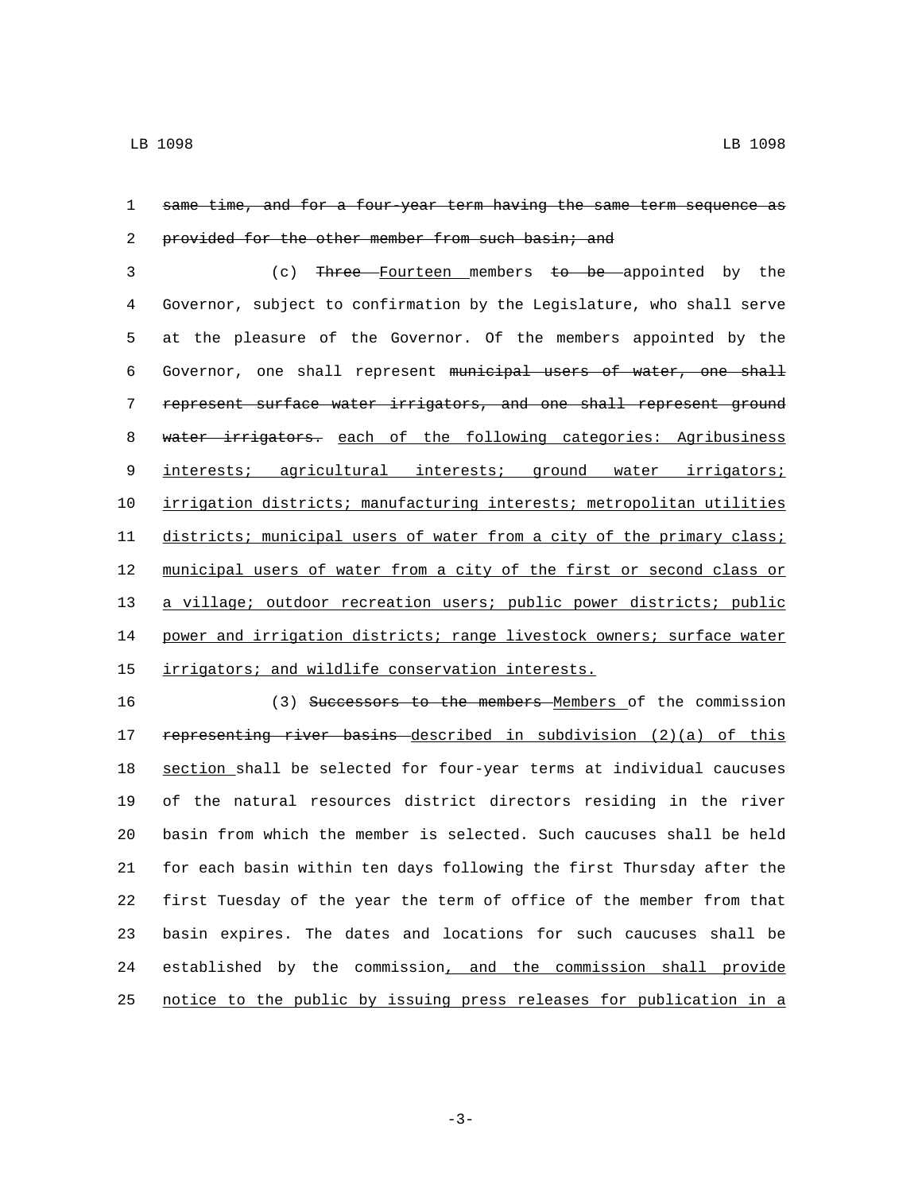## same time, and for a four-year term having the same term sequence as 2 provided for the other member from such basin; and

 (c) Three Fourteen members to be appointed by the Governor, subject to confirmation by the Legislature, who shall serve at the pleasure of the Governor. Of the members appointed by the Governor, one shall represent municipal users of water, one shall represent surface water irrigators, and one shall represent ground 8 water irrigators. each of the following categories: Agribusiness 9 interests; agricultural interests; ground water irrigators; irrigation districts; manufacturing interests; metropolitan utilities 11 districts; municipal users of water from a city of the primary class; municipal users of water from a city of the first or second class or a village; outdoor recreation users; public power districts; public 14 power and irrigation districts; range livestock owners; surface water 15 irrigators; and wildlife conservation interests.

16 (3) Successors to the members Members of the commission 17 representing river basins described in subdivision (2)(a) of this section shall be selected for four-year terms at individual caucuses of the natural resources district directors residing in the river basin from which the member is selected. Such caucuses shall be held for each basin within ten days following the first Thursday after the first Tuesday of the year the term of office of the member from that basin expires. The dates and locations for such caucuses shall be established by the commission, and the commission shall provide notice to the public by issuing press releases for publication in a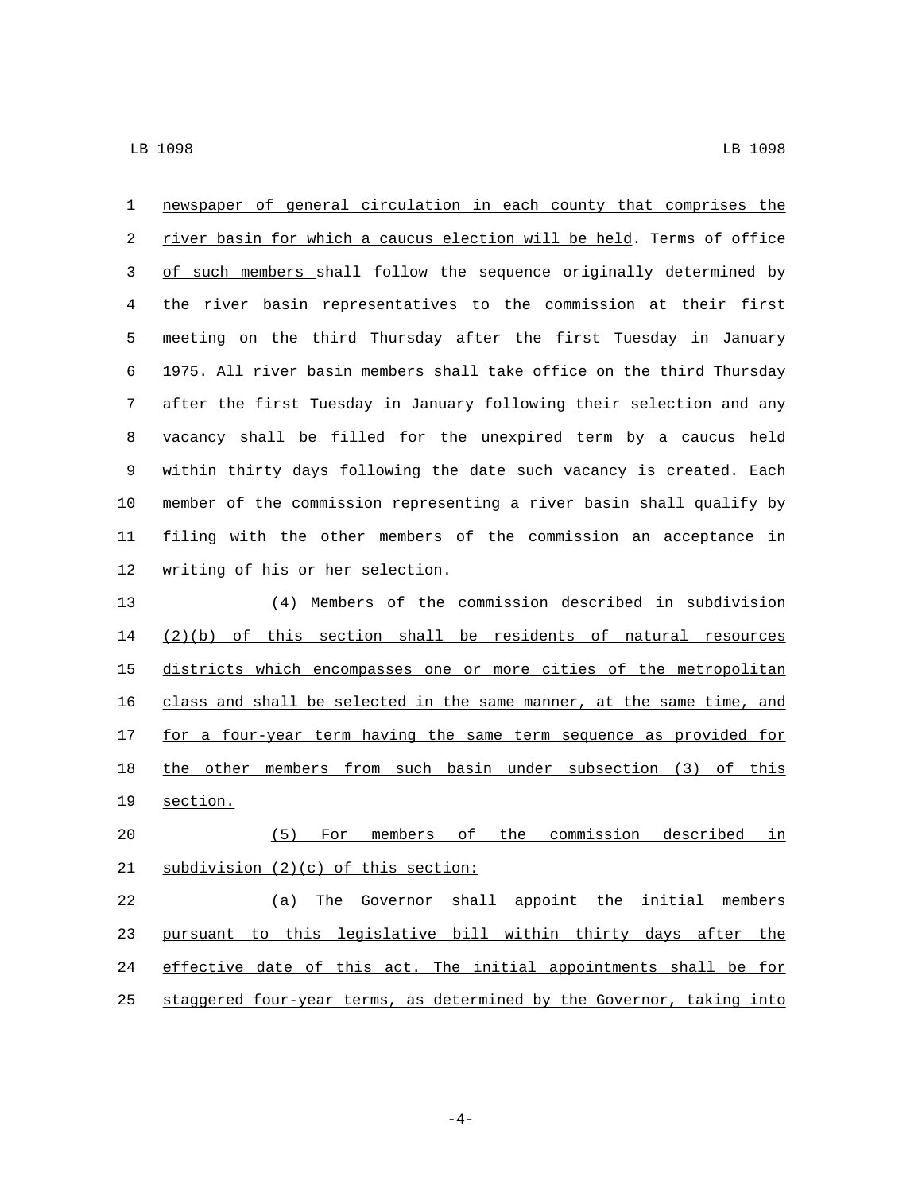| $\mathbf{1}$ | newspaper of general circulation in each county that comprises the    |  |
|--------------|-----------------------------------------------------------------------|--|
| 2            | river basin for which a caucus election will be held. Terms of office |  |
| 3            | of such members shall follow the sequence originally determined by    |  |
| 4            | the river basin representatives to the commission at their first      |  |
| 5            | meeting on the third Thursday after the first Tuesday in January      |  |
| б            | 1975. All river basin members shall take office on the third Thursday |  |
| 7            | after the first Tuesday in January following their selection and any  |  |
| 8            | vacancy shall be filled for the unexpired term by a caucus held       |  |
| 9            | within thirty days following the date such vacancy is created. Each   |  |
| 10           | member of the commission representing a river basin shall qualify by  |  |
| 11           | filing with the other members of the commission an acceptance in      |  |
| 12           | writing of his or her selection.                                      |  |
| 13           | (4) Members of the commission described in subdivision                |  |
| 14           | $(2)(b)$ of this section shall be residents of natural resources      |  |
| 15           | districts which encompasses one or more cities of the metropolitan    |  |
| 16           | class and shall be selected in the same manner, at the same time, and |  |
| 17           | for a four-year term having the same term sequence as provided for    |  |
| 18           | the other members from such basin under subsection (3) of this        |  |
| 19           | section.                                                              |  |
| 20           | members of the<br>commission described<br>(5)<br>in<br>For            |  |
| 21           | subdivision (2)(c) of this section:                                   |  |
| 22           | (a) The Governor shall appoint the initial members                    |  |
| 23           | pursuant to this legislative bill within thirty days after the        |  |
| 24           | effective date of this act. The initial appointments shall be for     |  |
| 25           | staggered four-year terms, as determined by the Governor, taking into |  |

-4-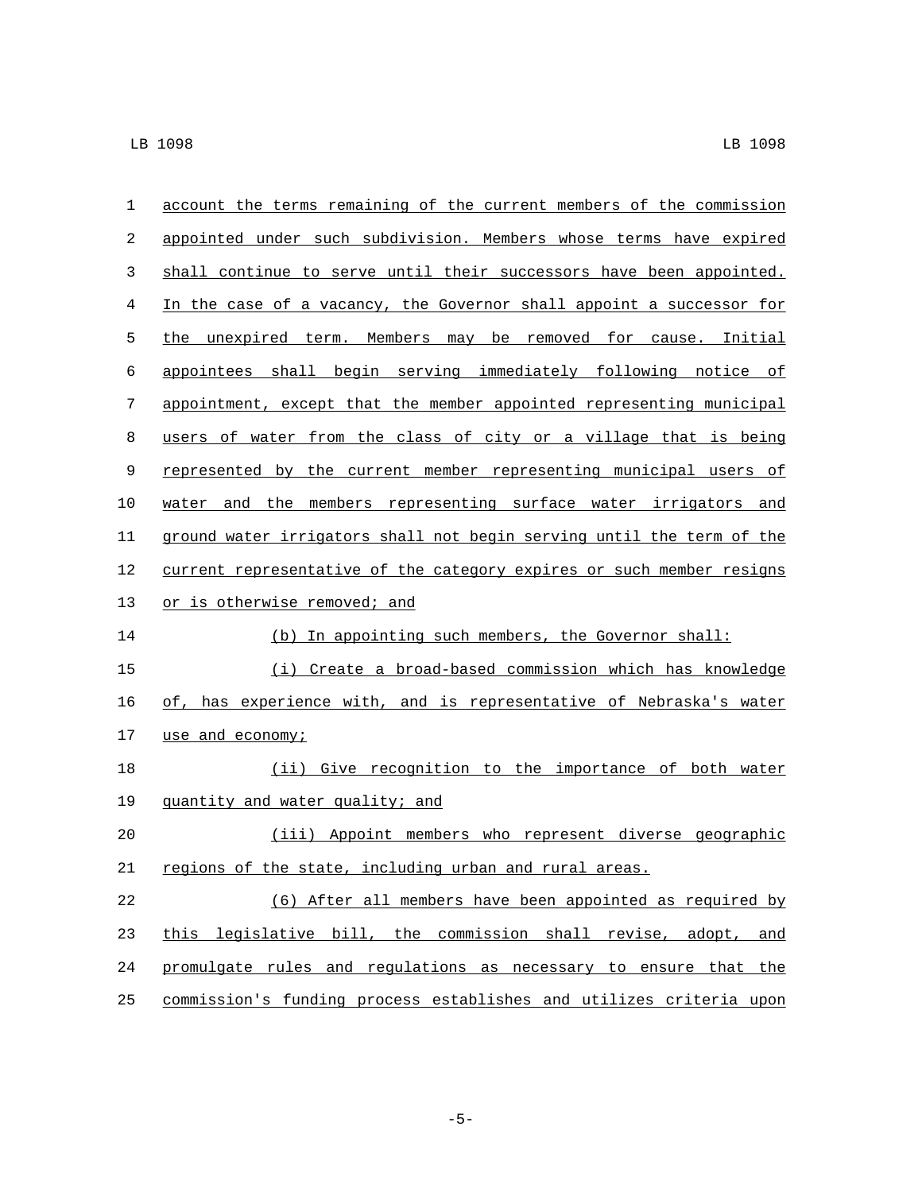| 1           | account the terms remaining of the current members of the commission  |
|-------------|-----------------------------------------------------------------------|
| 2           | appointed under such subdivision. Members whose terms have expired    |
| 3           | shall continue to serve until their successors have been appointed.   |
| 4           | In the case of a vacancy, the Governor shall appoint a successor for  |
| 5           | the unexpired term. Members may be removed for cause. Initial         |
| 6           | appointees shall begin serving immediately following notice of        |
| 7           | appointment, except that the member appointed representing municipal  |
| 8           | users of water from the class of city or a village that is being      |
| 9           | represented by the current member representing municipal users of     |
| 10          | water and the members representing surface water irrigators and       |
| 11          | ground water irrigators shall not begin serving until the term of the |
| 12          | current representative of the category expires or such member resigns |
| 13          | or is otherwise removed; and                                          |
| 14          | (b) In appointing such members, the Governor shall:                   |
| 15          | (i) Create a broad-based commission which has knowledge               |
| 16          | of, has experience with, and is representative of Nebraska's water    |
| 17          | use and economy;                                                      |
| 18          | (ii) Give recognition to the importance of both water                 |
| 19          | quantity and water quality; and                                       |
| 20          | (iii) Appoint members who represent diverse geographic                |
| $2\sqrt{1}$ | regions of the state, including urban and rural areas.                |
| 22          | (6) After all members have been appointed as required by              |
| 23          | this legislative bill, the commission shall revise, adopt, and        |
| 24          | promulgate rules and regulations as necessary to ensure that the      |
| 25          | commission's funding process establishes and utilizes criteria upon   |

-5-